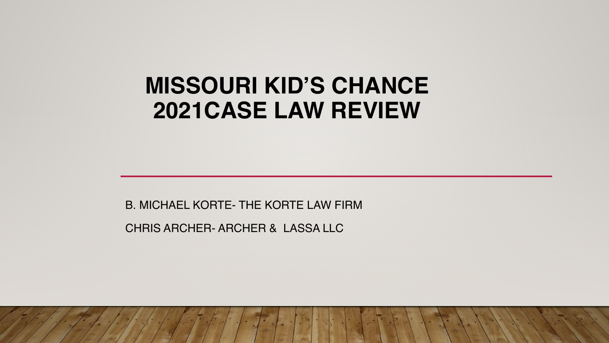# **MISSOURI KID'S CHANCE 2021CASE LAW REVIEW**

B. MICHAEL KORTE- THE KORTE LAW FIRM

CHRIS ARCHER- ARCHER & LASSA LLC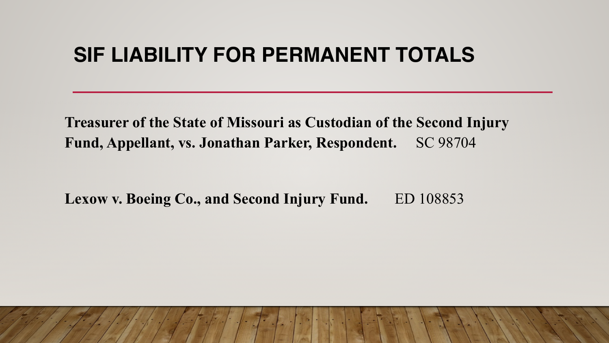## **SIF LIABILITY FOR PERMANENT TOTALS**

**Treasurer of the State of Missouri as Custodian of the Second Injury Fund, Appellant, vs. Jonathan Parker, Respondent.** SC 98704

Lexow v. Boeing Co., and Second Injury Fund. ED 108853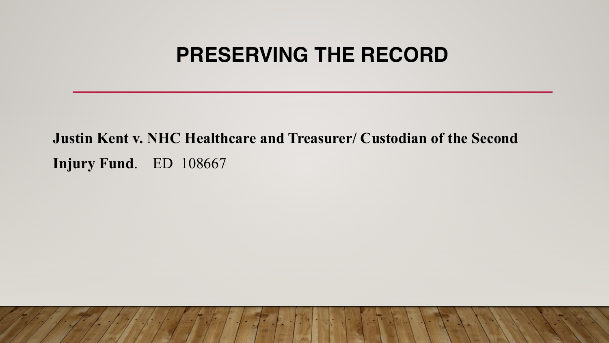## **PRESERVING THE RECORD**

**Justin Kent v. NHC Healthcare and Treasurer/ Custodian of the Second Injury Fund**. ED 108667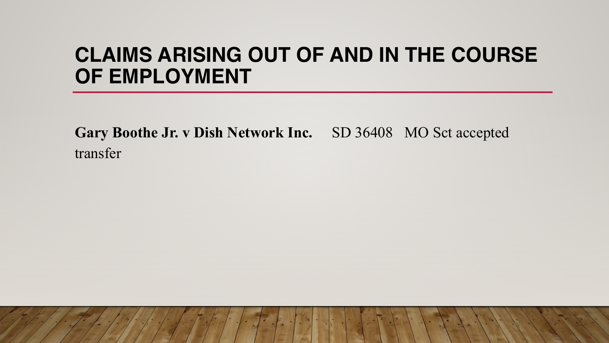# **CLAIMS ARISING OUT OF AND IN THE COURSE OF EMPLOYMENT**

**Gary Boothe Jr. v Dish Network Inc.** SD 36408 MO Sct accepted transfer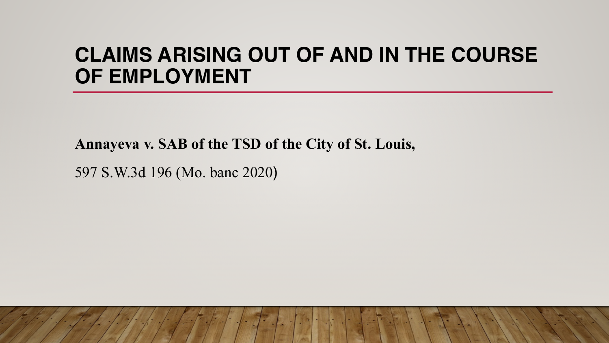# **CLAIMS ARISING OUT OF AND IN THE COURSE OF EMPLOYMENT**

**Annayeva v. SAB of the TSD of the City of St. Louis,** 

597 S.W.3d 196 (Mo. banc 2020)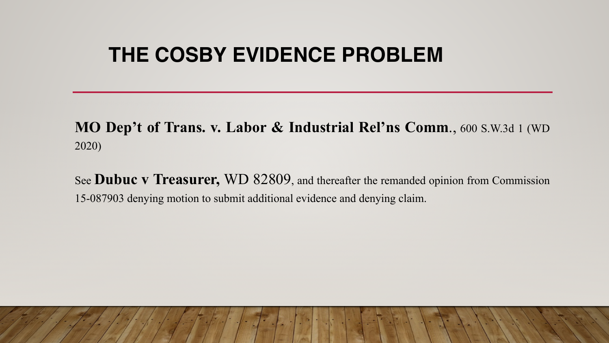# **THE COSBY EVIDENCE PROBLEM**

**MO Dep't of Trans. v. Labor & Industrial Rel'ns Comm**., 600 S.W.3d 1 (WD 2020)

See **Dubuc v Treasurer,** WD 82809, and thereafter the remanded opinion from Commission 15-087903 denying motion to submit additional evidence and denying claim.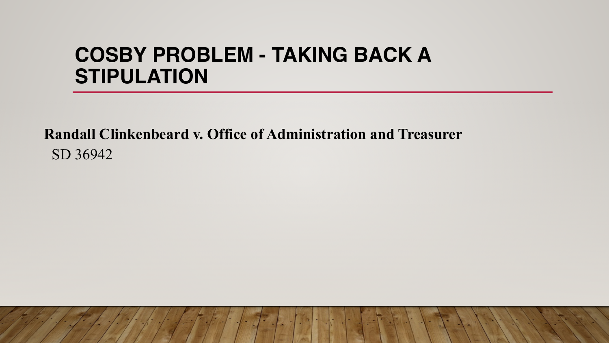# **COSBY PROBLEM - TAKING BACK A STIPULATION**

**Randall Clinkenbeard v. Office of Administration and Treasurer** SD 36942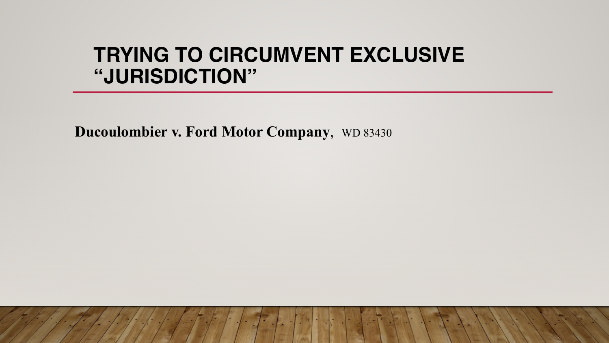# **TRYING TO CIRCUMVENT EXCLUSIVE "JURISDICTION"**

**Ducoulombier v. Ford Motor Company**, WD 83430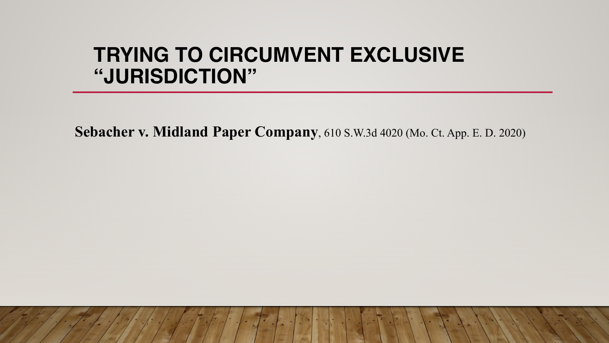# **TRYING TO CIRCUMVENT EXCLUSIVE "JURISDICTION"**

**Sebacher v. Midland Paper Company**, 610 S.W.3d 4020 (Mo. Ct. App. E. D. 2020)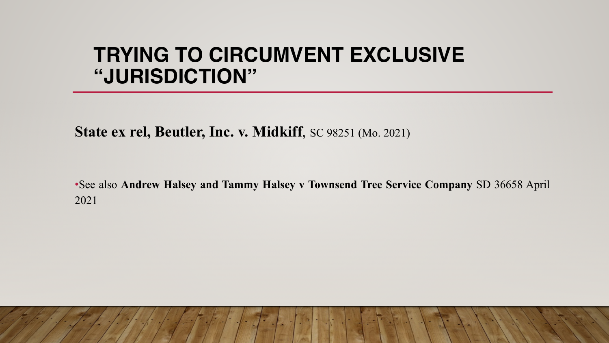# **TRYING TO CIRCUMVENT EXCLUSIVE "JURISDICTION"**

**State ex rel, Beutler, Inc. v. Midkiff**, SC 98251 (Mo. 2021)

•See also **Andrew Halsey and Tammy Halsey v Townsend Tree Service Company** SD 36658 April 2021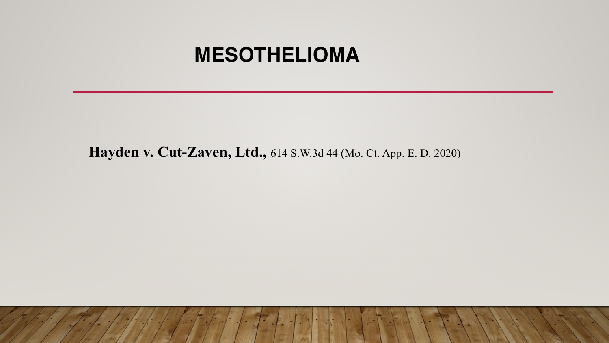#### **MESOTHELIOMA**

 **Hayden v. Cut-Zaven, Ltd.,** 614 S.W.3d 44 (Mo. Ct. App. E. D. 2020)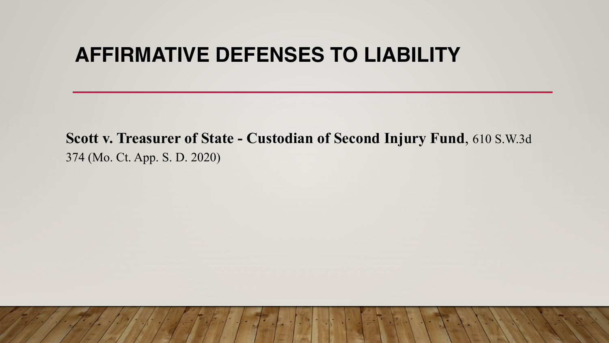# **AFFIRMATIVE DEFENSES TO LIABILITY**

**Scott v. Treasurer of State - Custodian of Second Injury Fund**, 610 S.W.3d 374 (Mo. Ct. App. S. D. 2020)